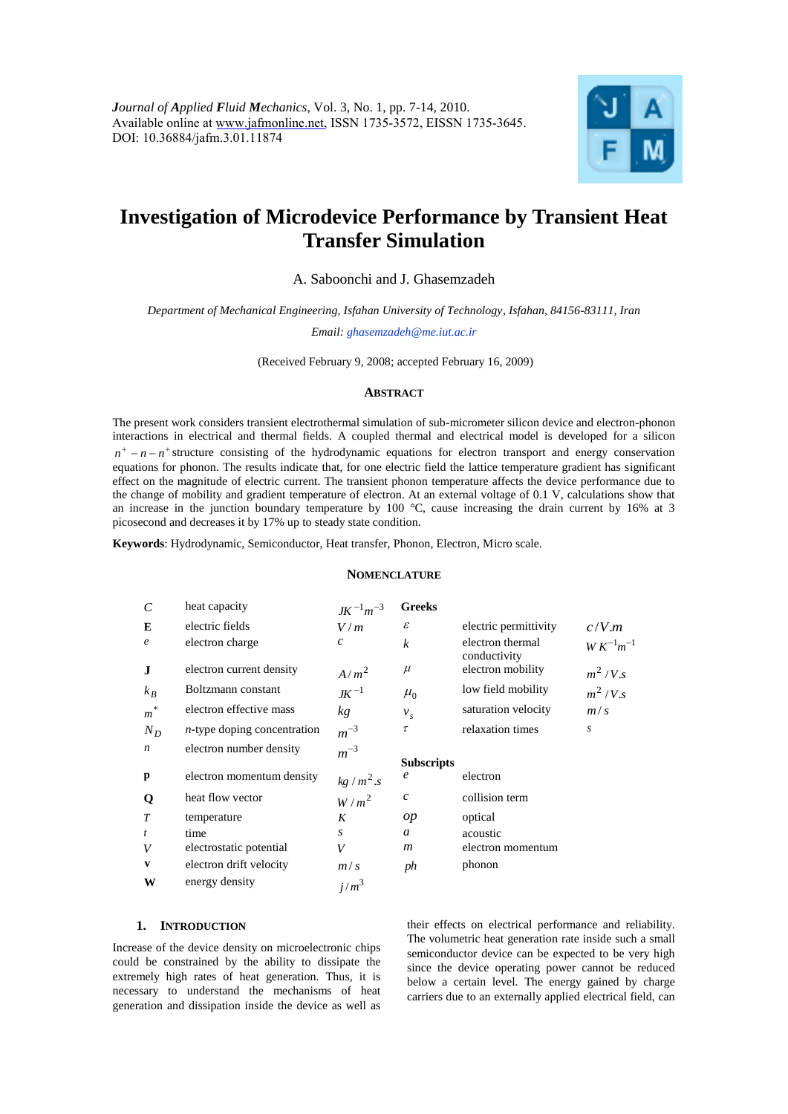

# **Investigation of Microdevice Performance by Transient Heat Transfer Simulation**

A. Saboonchi and J. Ghasemzadeh

*Department of Mechanical Engineering, Isfahan University of Technology, Isfahan, 84156-83111, Iran*

*Email: ghasemzadeh@me.iut.ac.ir*

(Received February 9, 2008; accepted February 16, 2009)

#### **ABSTRACT**

The present work considers transient electrothermal simulation of sub-micrometer silicon device and electron-phonon interactions in electrical and thermal fields. A coupled thermal and electrical model is developed for a silicon  $n^+$  –  $n - n^+$  structure consisting of the hydrodynamic equations for electron transport and energy conservation equations for phonon. The results indicate that, for one electric field the lattice temperature gradient has significant effect on the magnitude of electric current. The transient phonon temperature affects the device performance due to the change of mobility and gradient temperature of electron. At an external voltage of 0.1 V, calculations show that an increase in the junction boundary temperature by 100  $^{\circ}$ C, cause increasing the drain current by 16% at 3 picosecond and decreases it by 17% up to steady state condition.

**Keywords**: Hydrodynamic, Semiconductor, Heat transfer, Phonon, Electron, Micro scale.

# **NOMENCLATURE**

| $\mathcal{C}$      | heat capacity                  | $JK^{-1}m^{-3}$  | <b>Greeks</b>     |                                  |                   |
|--------------------|--------------------------------|------------------|-------------------|----------------------------------|-------------------|
| E                  | electric fields                | V/m              | $\mathcal E$      | electric permittivity            | c/V.m             |
| $\boldsymbol{e}$   | electron charge                | $\mathcal{C}$    | $\boldsymbol{k}$  | electron thermal<br>conductivity | $W K^{-1} m^{-1}$ |
| J                  | electron current density       | $A/m^2$          | $\mu$             | electron mobility                | $m^2/V.s$         |
| $k_B$              | Boltzmann constant             | $JK^{-1}$        | $\mu_0$           | low field mobility               | $m^2/V.s$         |
| $\boldsymbol{m}^*$ | electron effective mass        | kg               | $v_s$             | saturation velocity              | m/s               |
| $N_D$              | $n$ -type doping concentration | $m^{-3}$         | $\tau$            | relaxation times                 | $\boldsymbol{S}$  |
| $\boldsymbol{n}$   | electron number density        | $m^{-3}$         | <b>Subscripts</b> |                                  |                   |
| p                  | electron momentum density      | $kg/m^2.s$       | e                 | electron                         |                   |
| Q                  | heat flow vector               | $W/m^2$          | $\boldsymbol{c}$  | collision term                   |                   |
| T                  | temperature                    | K                | op                | optical                          |                   |
| $\mathfrak{t}$     | time                           | S                | a                 | acoustic                         |                   |
| V                  | electrostatic potential        | V                | $\boldsymbol{m}$  | electron momentum                |                   |
| V                  | electron drift velocity        | m/s              | ph                | phonon                           |                   |
| W                  | energy density                 | j/m <sup>3</sup> |                   |                                  |                   |

# **1. INTRODUCTION**

Increase of the device density on microelectronic chips could be constrained by the ability to dissipate the extremely high rates of heat generation. Thus, it is necessary to understand the mechanisms of heat generation and dissipation inside the device as well as

their effects on electrical performance and reliability. The volumetric heat generation rate inside such a small semiconductor device can be expected to be very high since the device operating power cannot be reduced below a certain level. The energy gained by charge carriers due to an externally applied electrical field, can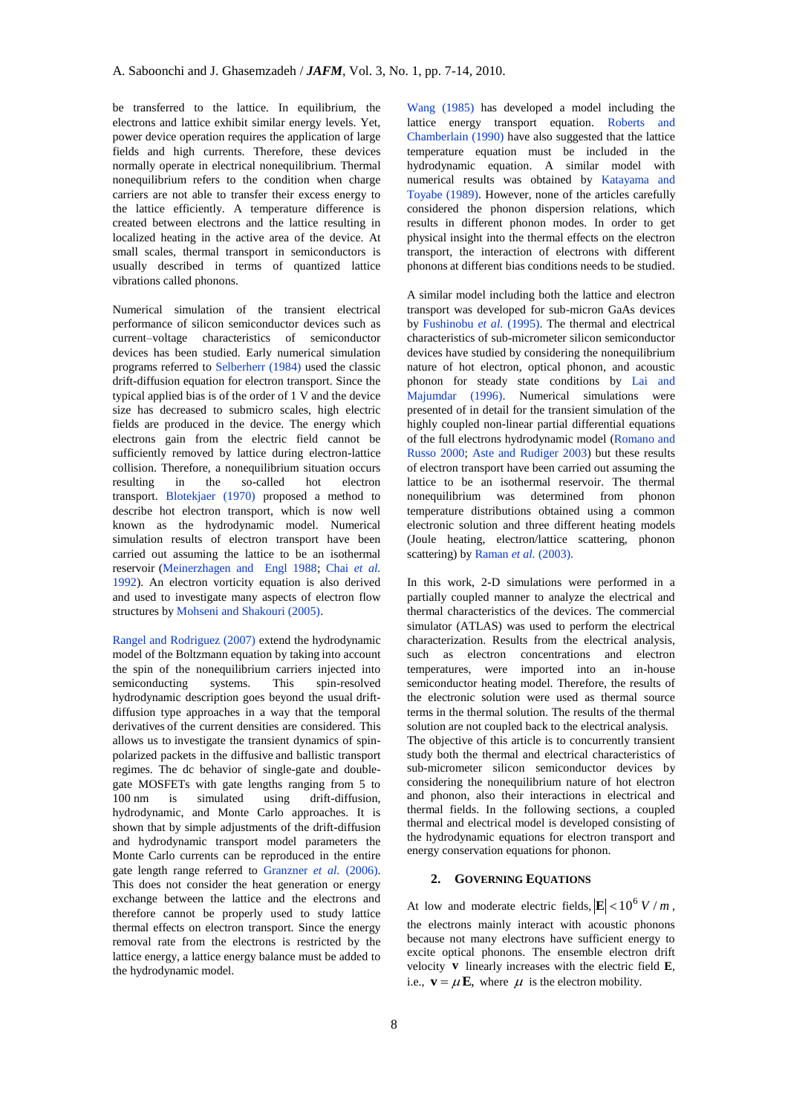be transferred to the lattice. In equilibrium, the electrons and lattice exhibit similar energy levels. Yet, power device operation requires the application of large fields and high currents. Therefore, these devices normally operate in electrical nonequilibrium. Thermal nonequilibrium refers to the condition when charge carriers are not able to transfer their excess energy to the lattice efficiently. A temperature difference is created between electrons and the lattice resulting in localized heating in the active area of the device. At small scales, thermal transport in semiconductors is usually described in terms of quantized lattice vibrations called phonons.

Numerical simulation of the transient electrical performance of silicon semiconductor devices such as current–voltage characteristics of semiconductor devices has been studied. Early numerical simulation programs referred to Selberherr (1984) used the classic drift-diffusion equation for electron transport. Since the typical applied bias is of the order of 1 V and the device size has decreased to submicro scales, high electric fields are produced in the device. The energy which electrons gain from the electric field cannot be sufficiently removed by lattice during electron-lattice collision. Therefore, a nonequilibrium situation occurs resulting in the so-called hot electron transport. Blotekjaer (1970) proposed a method to describe hot electron transport, which is now well known as the hydrodynamic model. Numerical simulation results of electron transport have been carried out assuming the lattice to be an isothermal reservoir (Meinerzhagen and Engl 1988; Chai *et al.* 1992). An electron vorticity equation is also derived and used to investigate many aspects of electron flow structures by Mohseni and Shakouri (2005).

Rangel and Rodriguez (2007) extend the hydrodynamic model of the Boltzmann equation by taking into account the spin of the nonequilibrium carriers injected into semiconducting systems. This spin-resolved hydrodynamic description goes beyond the usual driftdiffusion type approaches in a way that the temporal derivatives of the current densities are considered. This allows us to investigate the transient dynamics of spinpolarized packets in the diffusive and ballistic transport regimes. The dc behavior of single-gate and doublegate MOSFETs with gate lengths ranging from 5 to 100 nm is simulated using drift-diffusion, hydrodynamic, and Monte Carlo approaches. It is shown that by simple adjustments of the drift-diffusion and hydrodynamic transport model parameters the Monte Carlo currents can be reproduced in the entire gate length range referred to Granzner *et al.* (2006). This does not consider the heat generation or energy exchange between the lattice and the electrons and therefore cannot be properly used to study lattice thermal effects on electron transport. Since the energy removal rate from the electrons is restricted by the lattice energy, a lattice energy balance must be added to the hydrodynamic model.

Wang (1985) has developed a model including the lattice energy transport equation. Roberts and Chamberlain (1990) have also suggested that the lattice temperature equation must be included in the hydrodynamic equation. A similar model with numerical results was obtained by Katayama and Toyabe (1989). However, none of the articles carefully considered the phonon dispersion relations, which results in different phonon modes. In order to get physical insight into the thermal effects on the electron transport, the interaction of electrons with different phonons at different bias conditions needs to be studied.

A similar model including both the lattice and electron transport was developed for sub-micron GaAs devices by Fushinobu *et al.* (1995). The thermal and electrical characteristics of sub-micrometer silicon semiconductor devices have studied by considering the nonequilibrium nature of hot electron, optical phonon, and acoustic phonon for steady state conditions by Lai and Majumdar (1996). Numerical simulations were presented of in detail for the transient simulation of the highly coupled non-linear partial differential equations of the full electrons hydrodynamic model (Romano and Russo 2000; Aste and Rudiger 2003) but these results of electron transport have been carried out assuming the lattice to be an isothermal reservoir. The thermal nonequilibrium was determined from phonon temperature distributions obtained using a common electronic solution and three different heating models (Joule heating, electron/lattice scattering, phonon scattering) by Raman *et al.* (2003).

In this work, 2-D simulations were performed in a partially coupled manner to analyze the electrical and thermal characteristics of the devices. The commercial simulator (ATLAS) was used to perform the electrical characterization. Results from the electrical analysis, such as electron concentrations and electron temperatures, were imported into an in-house semiconductor heating model. Therefore, the results of the electronic solution were used as thermal source terms in the thermal solution. The results of the thermal solution are not coupled back to the electrical analysis. The objective of this article is to concurrently transient study both the thermal and electrical characteristics of sub-micrometer silicon semiconductor devices by considering the nonequilibrium nature of hot electron and phonon, also their interactions in electrical and thermal fields. In the following sections, a coupled thermal and electrical model is developed consisting of the hydrodynamic equations for electron transport and energy conservation equations for phonon.

# **2. GOVERNING EQUATIONS**

At low and moderate electric fields,  $|\mathbf{E}| < 10^6 V/m$ , the electrons mainly interact with acoustic phonons because not many electrons have sufficient energy to excite optical phonons. The ensemble electron drift velocity **v** linearly increases with the electric field **E**, i.e.,  $\mathbf{v} = \mu \mathbf{E}$ , where  $\mu$  is the electron mobility.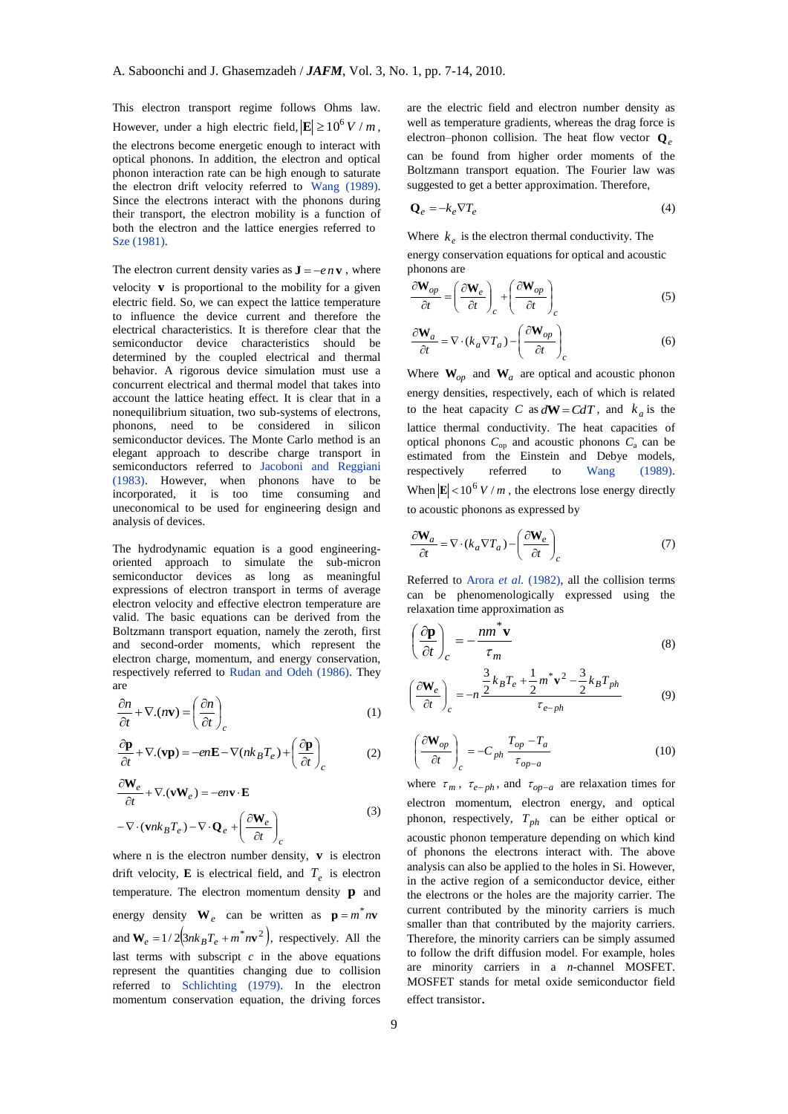This electron transport regime follows Ohms law. However, under a high electric field,  $|\mathbf{E}| \ge 10^6 V/m$ , the electrons become energetic enough to interact with optical phonons. In addition, the electron and optical phonon interaction rate can be high enough to saturate the electron drift velocity referred to Wang (1989). Since the electrons interact with the phonons during their transport, the electron mobility is a function of both the electron and the lattice energies referred to Sze (1981).

The electron current density varies as  $J = -e n v$ , where velocity  $\bf{v}$  is proportional to the mobility for a given electric field. So, we can expect the lattice temperature to influence the device current and therefore the electrical characteristics. It is therefore clear that the semiconductor device characteristics should be determined by the coupled electrical and thermal behavior. A rigorous device simulation must use a concurrent electrical and thermal model that takes into account the lattice heating effect. It is clear that in a nonequilibrium situation, two sub-systems of electrons, phonons, need to be considered in silicon semiconductor devices. The Monte Carlo method is an elegant approach to describe charge transport in semiconductors referred to Jacoboni and Reggiani (1983). However, when phonons have to be incorporated, it is too time consuming and uneconomical to be used for engineering design and analysis of devices.

The hydrodynamic equation is a good engineeringoriented approach to simulate the sub-micron semiconductor devices as long as meaningful expressions of electron transport in terms of average electron velocity and effective electron temperature are valid. The basic equations can be derived from the Boltzmann transport equation, namely the zeroth, first and second-order moments, which represent the electron charge, momentum, and energy conservation, respectively referred to Rudan and Odeh (1986). They are

$$
\frac{\partial n}{\partial t} + \nabla \cdot (n\mathbf{v}) = \left(\frac{\partial n}{\partial t}\right)_c \tag{1}
$$

$$
\frac{\partial \mathbf{p}}{\partial t} + \nabla \cdot (\mathbf{v} \mathbf{p}) = -en \mathbf{E} - \nabla (nk_B T_e) + \left(\frac{\partial \mathbf{p}}{\partial t}\right)_c
$$
 (2)

$$
\frac{\partial \mathbf{W}_e}{\partial t} + \nabla \cdot (\mathbf{v} \mathbf{W}_e) = -e n \mathbf{v} \cdot \mathbf{E}
$$
  
-  $\nabla \cdot (\mathbf{v} n k_B T_e) - \nabla \cdot \mathbf{Q}_e + \left(\frac{\partial \mathbf{W}_e}{\partial t}\right)_c$  (3)

where n is the electron number density, **v** is electron drift velocity, **E** is electrical field, and  $T_e$  is electron temperature. The electron momentum density **p** and energy density  $W_e$  can be written as  $p = m^* n v$ and  $W_e = 1/2(3nk_B T_e + m^* n v^2)$ , respectively. All the last terms with subscript  $c$  in the above equations represent the quantities changing due to collision referred to Schlichting (1979). In the electron momentum conservation equation, the driving forces

are the electric field and electron number density as well as temperature gradients, whereas the drag force is electron–phonon collision. The heat flow vector **Q***<sup>e</sup>* can be found from higher order moments of the Boltzmann transport equation. The Fourier law was suggested to get a better approximation. Therefore,

$$
\mathbf{Q}_e = -k_e \nabla T_e \tag{4}
$$

Where  $k_e$  is the electron thermal conductivity. The

energy conservation equations for optical and acoustic phonons are

$$
\frac{\partial \mathbf{W}_{op}}{\partial t} = \left(\frac{\partial \mathbf{W}_e}{\partial t}\right)_c + \left(\frac{\partial \mathbf{W}_{op}}{\partial t}\right)_c \tag{5}
$$

$$
\frac{\partial \mathbf{W}_a}{\partial t} = \nabla \cdot (k_a \nabla T_a) - \left(\frac{\partial \mathbf{W}_{op}}{\partial t}\right)_c \tag{6}
$$

Where  $W_{op}$  and  $W_a$  are optical and acoustic phonon energy densities, respectively, each of which is related to the heat capacity *C* as  $dW = CdT$ , and  $k_a$  is the lattice thermal conductivity. The heat capacities of optical phonons  $C_{op}$  and acoustic phonons  $C_a$  can be estimated from the Einstein and Debye models, respectively referred to Wang (1989). When  $\left| \mathbf{E} \right| < 10^6 V/m$ , the electrons lose energy directly to acoustic phonons as expressed by

$$
\frac{\partial \mathbf{W}_a}{\partial t} = \nabla \cdot (k_a \nabla T_a) - \left(\frac{\partial \mathbf{W}_e}{\partial t}\right)_c \tag{7}
$$

Referred to Arora *et al.* (1982), all the collision terms can be phenomenologically expressed using the relaxation time approximation as

$$
\left(\frac{\partial \mathbf{p}}{\partial t}\right)_c = -\frac{nm^* \mathbf{v}}{\tau_m} \tag{8}
$$

$$
\left(\frac{\partial \mathbf{W}_e}{\partial t}\right)_c = -n \frac{\frac{3}{2} k_B T_e + \frac{1}{2} m^* \mathbf{v}^2 - \frac{3}{2} k_B T_{ph}}{\tau_{e-ph}}
$$
(9)

$$
\left(\frac{\partial \mathbf{W}_{op}}{\partial t}\right)_c = -C_{ph} \frac{T_{op} - T_a}{\tau_{op-a}}
$$
\n(10)

where  $\tau_m$ ,  $\tau_{e-ph}$ , and  $\tau_{op-a}$  are relaxation times for electron momentum, electron energy, and optical phonon, respectively, *Tph* can be either optical or acoustic phonon temperature depending on which kind of phonons the electrons interact with. The above analysis can also be applied to the holes in Si. However, in the active region of a semiconductor device, either the electrons or the holes are the majority carrier. The current contributed by the minority carriers is much smaller than that contributed by the majority carriers. Therefore, the minority carriers can be simply assumed to follow the drift diffusion model. For example, holes are minority carriers in a *n*-channel MOSFET. MOSFET stands for metal oxide semiconductor field effect transistor.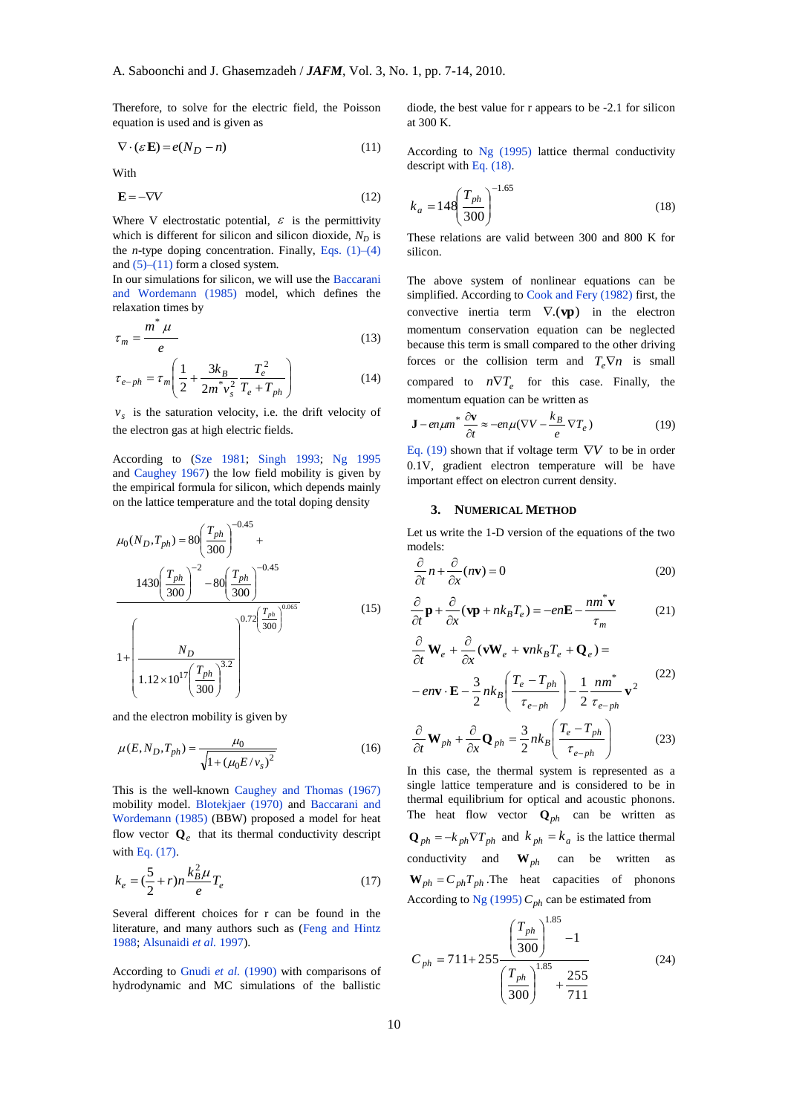Therefore, to solve for the electric field, the Poisson equation is used and is given as

$$
\nabla \cdot (\varepsilon \mathbf{E}) = e(N_D - n) \tag{11}
$$

With

$$
\mathbf{E} = -\nabla V \tag{12}
$$

Where V electrostatic potential,  $\varepsilon$  is the permittivity which is different for silicon and silicon dioxide,  $N_D$  is the *n*-type doping concentration. Finally, Eqs. (1)–(4) and  $(5)$ – $(11)$  form a closed system.

In our simulations for silicon, we will use the Baccarani and Wordemann (1985) model, which defines the relaxation times by

$$
\tau_m = \frac{m^* \mu}{e} \tag{13}
$$

$$
\tau_{e-ph} = \tau_m \left( \frac{1}{2} + \frac{3k_B}{2m^* v_s^2} \frac{T_e^2}{T_e + T_{ph}} \right)
$$
(14)

 $v<sub>s</sub>$  is the saturation velocity, i.e. the drift velocity of the electron gas at high electric fields.

According to (Sze 1981; Singh 1993; Ng 1995 and Caughey 1967) the low field mobility is given by the empirical formula for silicon, which depends mainly on the lattice temperature and the total doping density

$$
\mu_0(N_D, T_{ph}) = 80 \left( \frac{T_{ph}}{300} \right)^{-0.45} +
$$
  

$$
1430 \left( \frac{T_{ph}}{300} \right)^{-2} - 80 \left( \frac{T_{ph}}{300} \right)^{-0.45}
$$
  

$$
1 + \left( \frac{N_D}{1.12 \times 10^{17} \left( \frac{T_{ph}}{300} \right)^{3.2}} \right)^{0.72 \left( \frac{T_{ph}}{300} \right)^{0.065}}
$$
(15)

and the electron mobility is given by

$$
\mu(E, N_D, T_{ph}) = \frac{\mu_0}{\sqrt{1 + (\mu_0 E / v_s)^2}}
$$
(16)

This is the well-known Caughey and Thomas (1967) mobility model. Blotekjaer (1970) and Baccarani and Wordemann (1985) (BBW) proposed a model for heat flow vector  $\mathbf{Q}_e$  that its thermal conductivity descript with Eq. (17).

$$
k_e = (\frac{5}{2} + r)n \frac{k_B^2 \mu}{e} T_e
$$
 (17)

Several different choices for r can be found in the literature, and many authors such as (Feng and Hintz 1988; Alsunaidi *et al.* 1997).

According to Gnudi *et al.* (1990) with comparisons of hydrodynamic and MC simulations of the ballistic diode, the best value for r appears to be -2.1 for silicon at 300 K.

According to Ng (1995) lattice thermal conductivity descript with Eq. (18).

$$
k_a = 148 \left(\frac{T_{ph}}{300}\right)^{-1.65} \tag{18}
$$

These relations are valid between 300 and 800 K for silicon.

The above system of nonlinear equations can be simplified. According to Cook and Fery (1982) first, the convective inertia term  $\nabla$ .(**vp**) in the electron momentum conservation equation can be neglected because this term is small compared to the other driving forces or the collision term and  $T_e \nabla n$  is small compared to  $n\nabla T_e$  for this case. Finally, the momentum equation can be written as

$$
\mathbf{J} - e n \mu m^* \frac{\partial \mathbf{v}}{\partial t} \approx -e n \mu (\nabla V - \frac{k_B}{e} \nabla T_e)
$$
 (19)

Eq. (19) shown that if voltage term  $\nabla V$  to be in order 0.1V, gradient electron temperature will be have important effect on electron current density.

#### **3. NUMERICAL METHOD**

Let us write the 1-D version of the equations of the two models:

$$
\frac{\partial}{\partial t}n + \frac{\partial}{\partial x}(n\mathbf{v}) = 0
$$
\n(20)

$$
\frac{\partial}{\partial t}\mathbf{p} + \frac{\partial}{\partial x}(\mathbf{v}\mathbf{p} + nk_B T_e) = -en\mathbf{E} - \frac{nm^*\mathbf{v}}{\tau_m}
$$
(21)

$$
\frac{\partial}{\partial t} \mathbf{W}_e + \frac{\partial}{\partial x} (\mathbf{v} \mathbf{W}_e + \mathbf{v} n k_B T_e + \mathbf{Q}_e) =
$$
\n
$$
- e n \mathbf{v} \cdot \mathbf{E} - \frac{3}{2} n k_B \left( \frac{T_e - T_{ph}}{\tau_{e-ph}} \right) - \frac{1}{2} \frac{n m^*}{\tau_{e-ph}} \mathbf{v}^2
$$
\n(22)

$$
\frac{\partial}{\partial t} \mathbf{W}_{ph} + \frac{\partial}{\partial x} \mathbf{Q}_{ph} = \frac{3}{2} n k_B \left( \frac{T_e - T_{ph}}{\tau_{e-ph}} \right)
$$
(23)

In this case, the thermal system is represented as a single lattice temperature and is considered to be in thermal equilibrium for optical and acoustic phonons. The heat flow vector  $\mathbf{Q}_{ph}$  can be written as  $Q_{ph} = -k_{ph} \nabla T_{ph}$  and  $k_{ph} = k_a$  is the lattice thermal conductivity and  $W_{ph}$  can be written as  $W_{ph} = C_{ph}T_{ph}$ . The heat capacities of phonons According to Ng (1995)  $C_{ph}$  can be estimated from

$$
C_{ph} = 711 + 255 \frac{\left(\frac{T_{ph}}{300}\right)^{1.85} - 1}{\left(\frac{T_{ph}}{300}\right)^{1.85} + \frac{255}{711}}
$$
 (24)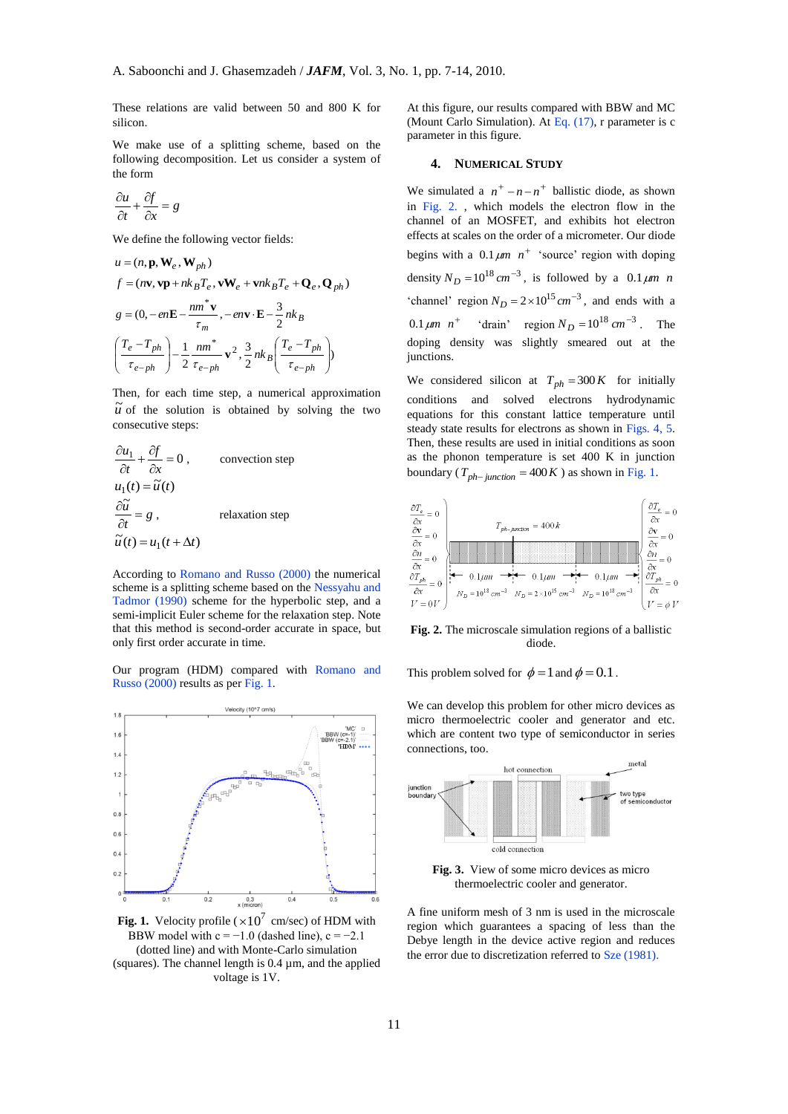These relations are valid between 50 and 800 K for silicon.

We make use of a splitting scheme, based on the following decomposition. Let us consider a system of the form

$$
\frac{\partial u}{\partial t} + \frac{\partial f}{\partial x} = g
$$

We define the following vector fields:

$$
u = (n, \mathbf{p}, \mathbf{W}_e, \mathbf{W}_{ph})
$$
  
\n
$$
f = (n\mathbf{v}, \mathbf{v}\mathbf{p} + n k_B T_e, \mathbf{v}\mathbf{W}_e + \mathbf{v} n k_B T_e + \mathbf{Q}_e, \mathbf{Q}_{ph})
$$
  
\n
$$
g = (0, -e n\mathbf{E} - \frac{n m^* \mathbf{v}}{\tau_m}, -e n\mathbf{v} \cdot \mathbf{E} - \frac{3}{2} n k_B
$$
  
\n
$$
\left(\frac{T_e - T_{ph}}{\tau_{e-ph}}\right) - \frac{1}{2} \frac{n m^*}{\tau_{e-ph}} \mathbf{v}^2, \frac{3}{2} n k_B \left(\frac{T_e - T_{ph}}{\tau_{e-ph}}\right)
$$

Then, for each time step, a numerical approximation  $\overrightarrow{u}$  of the solution is obtained by solving the two consecutive steps:

$$
\frac{\partial u_1}{\partial t} + \frac{\partial f}{\partial x} = 0, \qquad \text{convection step}
$$
  

$$
u_1(t) = \tilde{u}(t)
$$
  

$$
\frac{\partial \tilde{u}}{\partial t} = g, \qquad \text{relaxation step}
$$
  

$$
\tilde{u}(t) = u_1(t + \Delta t)
$$

According to Romano and Russo (2000) the numerical scheme is a splitting scheme based on the Nessyahu and Tadmor (1990) scheme for the hyperbolic step, and a semi-implicit Euler scheme for the relaxation step. Note that this method is second-order accurate in space, but only first order accurate in time.

Our program (HDM) compared with Romano and Russo (2000) results as per Fig. 1.



**Fig. 1.** Velocity profile ( $\times 10^7$  cm/sec) of HDM with BBW model with  $c = -1.0$  (dashed line),  $c = -2.1$ (dotted line) and with Monte-Carlo simulation (squares). The channel length is  $0.4 \mu m$ , and the applied voltage is 1V.

At this figure, our results compared with BBW and MC (Mount Carlo Simulation). At Eq. (17), r parameter is c parameter in this figure.

### **4. NUMERICAL STUDY**

We simulated a  $n^+ - n - n^+$  ballistic diode, as shown in Fig. 2. , which models the electron flow in the channel of an MOSFET, and exhibits hot electron effects at scales on the order of a micrometer. Our diode begins with a  $0.1 \mu m$   $n^+$  'source' region with doping density  $N_D = 10^{18} cm^{-3}$ , is followed by a  $0.1 \mu m$  *n* 'channel' region  $N_D = 2 \times 10^{15} cm^{-3}$ , and ends with a  $0.1 \mu m \quad n^+$  'drain' region  $N_D = 10^{18} \, cm^{-3}$ . The doping density was slightly smeared out at the junctions.

We considered silicon at  $T_{ph} = 300 K$  for initially conditions and solved electrons hydrodynamic equations for this constant lattice temperature until steady state results for electrons as shown in Figs. 4, 5. Then, these results are used in initial conditions as soon as the phonon temperature is set 400 K in junction boundary ( $T_{ph-junction} = 400K$ ) as shown in Fig. 1.



**Fig. 2.** The microscale simulation regions of a ballistic diode.

This problem solved for  $\phi = 1$  and  $\phi = 0.1$ .

We can develop this problem for other micro devices as micro thermoelectric cooler and generator and etc. which are content two type of semiconductor in series connections, too.



**Fig. 3.** View of some micro devices as micro thermoelectric cooler and generator.

A fine uniform mesh of 3 nm is used in the microscale region which guarantees a spacing of less than the Debye length in the device active region and reduces the error due to discretization referred to Sze (1981).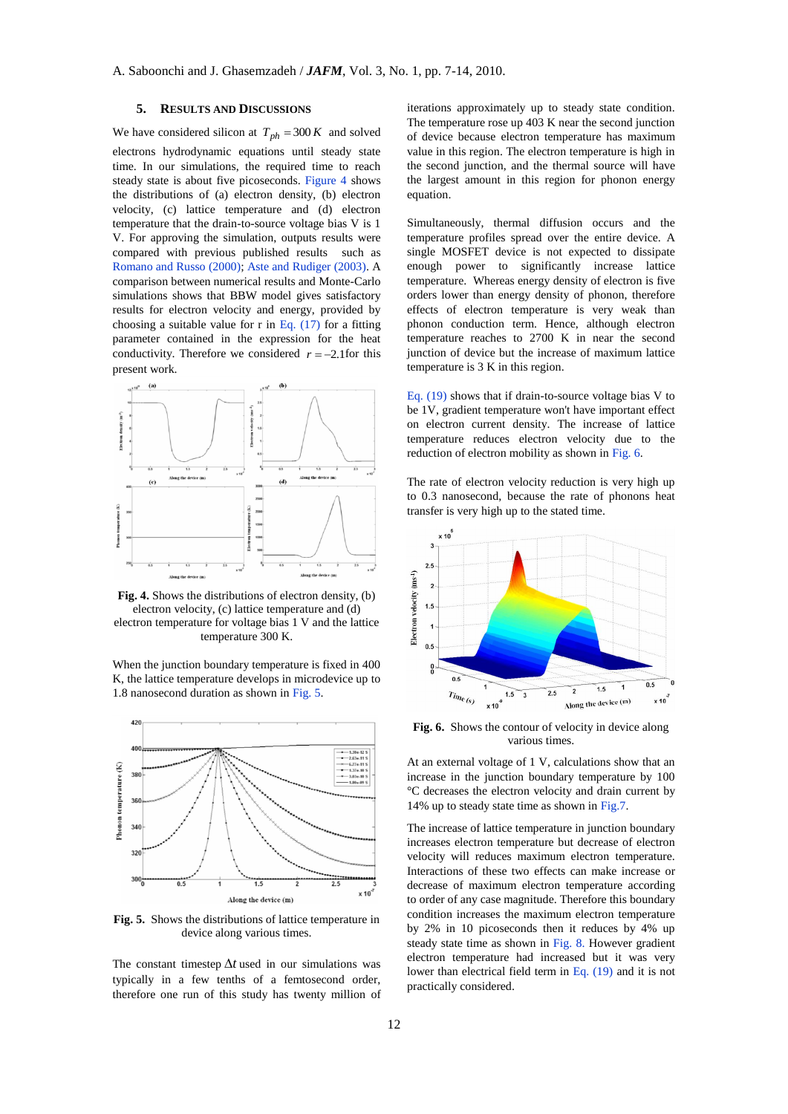# **5. RESULTS AND DISCUSSIONS**

We have considered silicon at  $T_{ph} = 300 K$  and solved electrons hydrodynamic equations until steady state time. In our simulations, the required time to reach steady state is about five picoseconds. Figure 4 shows the distributions of (a) electron density, (b) electron velocity, (c) lattice temperature and (d) electron temperature that the drain-to-source voltage bias V is 1 V. For approving the simulation, outputs results were compared with previous published results such as Romano and Russo (2000); Aste and Rudiger (2003). A comparison between numerical results and Monte-Carlo simulations shows that BBW model gives satisfactory results for electron velocity and energy, provided by choosing a suitable value for r in Eq.  $(17)$  for a fitting parameter contained in the expression for the heat conductivity. Therefore we considered  $r = -2.1$  for this present work.



**Fig. 4.** Shows the distributions of electron density, (b) electron velocity, (c) lattice temperature and (d) electron temperature for voltage bias 1 V and the lattice temperature 300 K.

420  $-1.38e-12S$ <br> $-2.63e-11S$ Phonon temperature (K) 380 36  $340$ 

 $32$ 

When the junction boundary temperature is fixed in 400 K, the lattice temperature develops in microdevice up to 1.8 nanosecond duration as shown in Fig. 5.



Along the device (m)

The constant timestep  $\Delta t$  used in our simulations was typically in a few tenths of a femtosecond order, therefore one run of this study has twenty million of iterations approximately up to steady state condition. The temperature rose up 403 K near the second junction of device because electron temperature has maximum value in this region. The electron temperature is high in the second junction, and the thermal source will have the largest amount in this region for phonon energy equation.

Simultaneously, thermal diffusion occurs and the temperature profiles spread over the entire device. A single MOSFET device is not expected to dissipate enough power to significantly increase lattice temperature. Whereas energy density of electron is five orders lower than energy density of phonon, therefore effects of electron temperature is very weak than phonon conduction term. Hence, although electron temperature reaches to 2700 K in near the second junction of device but the increase of maximum lattice temperature is 3 K in this region.

Eq. (19) shows that if drain-to-source voltage bias V to be 1V, gradient temperature won't have important effect on electron current density. The increase of lattice temperature reduces electron velocity due to the reduction of electron mobility as shown in Fig. 6.

The rate of electron velocity reduction is very high up to 0.3 nanosecond, because the rate of phonons heat transfer is very high up to the stated time.



**Fig. 6.** Shows the contour of velocity in device along various times.

At an external voltage of 1 V, calculations show that an increase in the junction boundary temperature by 100 °C decreases the electron velocity and drain current by 14% up to steady state time as shown in Fig.7.

The increase of lattice temperature in junction boundary increases electron temperature but decrease of electron velocity will reduces maximum electron temperature. Interactions of these two effects can make increase or decrease of maximum electron temperature according to order of any case magnitude. Therefore this boundary condition increases the maximum electron temperature by 2% in 10 picoseconds then it reduces by 4% up steady state time as shown in Fig. 8. However gradient electron temperature had increased but it was very lower than electrical field term in Eq. (19) and it is not practically considered.

 $x 10$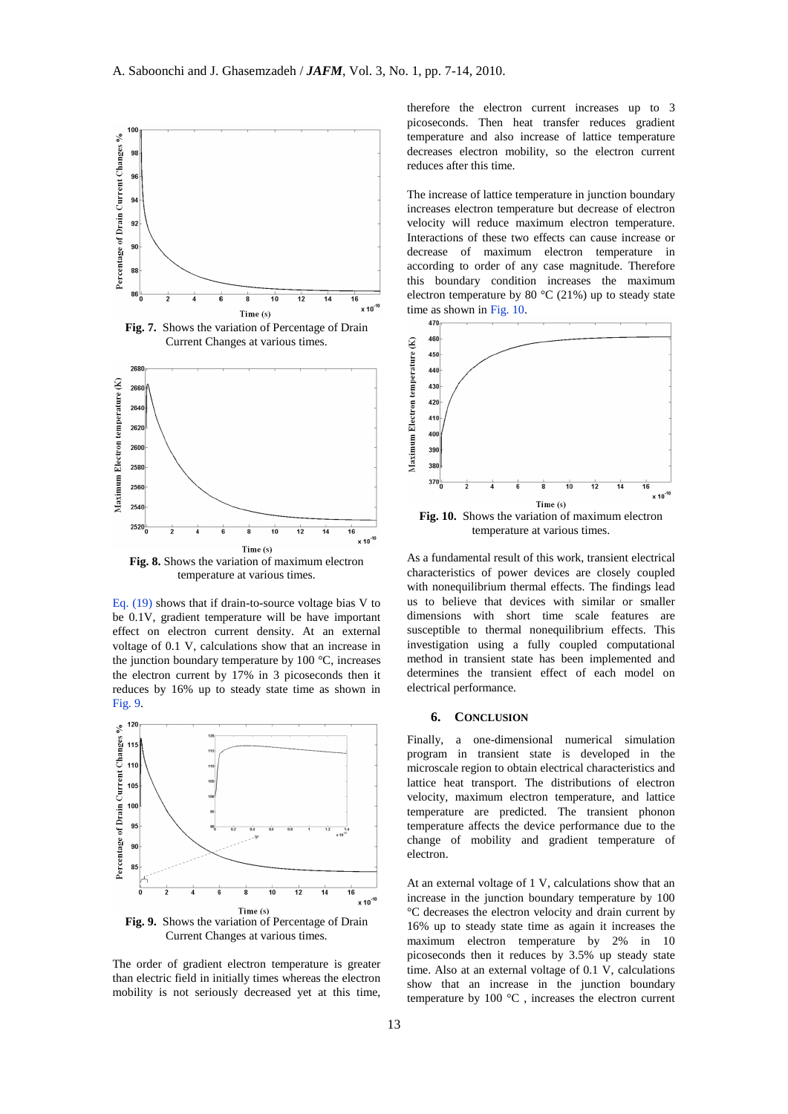

**Fig. 7.** Shows the variation of Percentage of Drain Current Changes at various times.



**Fig. 8.** Shows the variation of maximum electron temperature at various times.

Eq. (19) shows that if drain-to-source voltage bias V to be 0.1V, gradient temperature will be have important effect on electron current density. At an external voltage of 0.1 V, calculations show that an increase in the junction boundary temperature by  $100 \degree C$ , increases the electron current by 17% in 3 picoseconds then it reduces by 16% up to steady state time as shown in Fig. 9.



The order of gradient electron temperature is greater than electric field in initially times whereas the electron mobility is not seriously decreased yet at this time,

therefore the electron current increases up to 3 picoseconds. Then heat transfer reduces gradient temperature and also increase of lattice temperature decreases electron mobility, so the electron current reduces after this time.

The increase of lattice temperature in junction boundary increases electron temperature but decrease of electron velocity will reduce maximum electron temperature. Interactions of these two effects can cause increase or decrease of maximum electron temperature in according to order of any case magnitude. Therefore this boundary condition increases the maximum electron temperature by 80  $^{\circ}$ C (21%) up to steady state time as shown in Fig. 10.



**Fig. 10.** Shows the variation of maximum electron temperature at various times.

As a fundamental result of this work, transient electrical characteristics of power devices are closely coupled with nonequilibrium thermal effects. The findings lead us to believe that devices with similar or smaller dimensions with short time scale features are susceptible to thermal nonequilibrium effects. This investigation using a fully coupled computational method in transient state has been implemented and determines the transient effect of each model on electrical performance.

#### **6. CONCLUSION**

Finally, a one-dimensional numerical simulation program in transient state is developed in the microscale region to obtain electrical characteristics and lattice heat transport. The distributions of electron velocity, maximum electron temperature, and lattice temperature are predicted. The transient phonon temperature affects the device performance due to the change of mobility and gradient temperature of electron.

At an external voltage of 1 V, calculations show that an increase in the junction boundary temperature by 100 °C decreases the electron velocity and drain current by 16% up to steady state time as again it increases the maximum electron temperature by 2% in 10 picoseconds then it reduces by 3.5% up steady state time. Also at an external voltage of 0.1 V, calculations show that an increase in the junction boundary temperature by 100 °C , increases the electron current